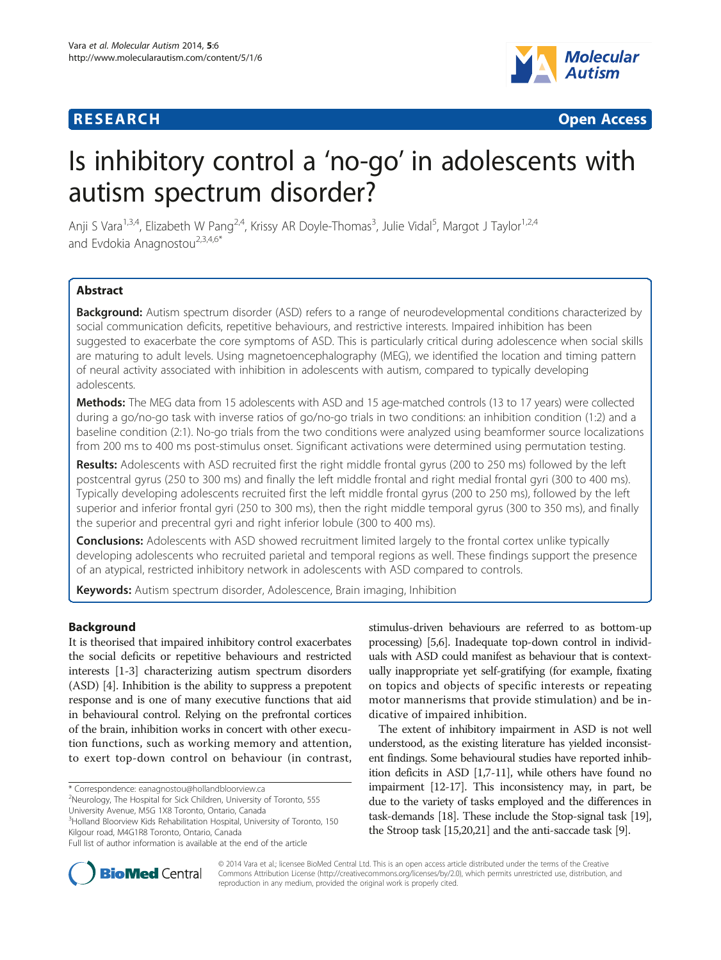

**RESEARCH CHINESE ARCH CHINESE ARCH CHINESE ARCH <b>CHINESE ARCH** 

# Is inhibitory control a 'no-go' in adolescents with autism spectrum disorder?

Anji S Vara<sup>1,3,4</sup>, Elizabeth W Pang<sup>2,4</sup>, Krissy AR Doyle-Thomas<sup>3</sup>, Julie Vidal<sup>5</sup>, Margot J Taylor<sup>1,2,4</sup> and Evdokia Anagnostou<sup>2,3,4,6\*</sup>

# **Abstract**

Background: Autism spectrum disorder (ASD) refers to a range of neurodevelopmental conditions characterized by social communication deficits, repetitive behaviours, and restrictive interests. Impaired inhibition has been suggested to exacerbate the core symptoms of ASD. This is particularly critical during adolescence when social skills are maturing to adult levels. Using magnetoencephalography (MEG), we identified the location and timing pattern of neural activity associated with inhibition in adolescents with autism, compared to typically developing adolescents.

Methods: The MEG data from 15 adolescents with ASD and 15 age-matched controls (13 to 17 years) were collected during a go/no-go task with inverse ratios of go/no-go trials in two conditions: an inhibition condition (1:2) and a baseline condition (2:1). No-go trials from the two conditions were analyzed using beamformer source localizations from 200 ms to 400 ms post-stimulus onset. Significant activations were determined using permutation testing.

Results: Adolescents with ASD recruited first the right middle frontal gyrus (200 to 250 ms) followed by the left postcentral gyrus (250 to 300 ms) and finally the left middle frontal and right medial frontal gyri (300 to 400 ms). Typically developing adolescents recruited first the left middle frontal gyrus (200 to 250 ms), followed by the left superior and inferior frontal gyri (250 to 300 ms), then the right middle temporal gyrus (300 to 350 ms), and finally the superior and precentral gyri and right inferior lobule (300 to 400 ms).

**Conclusions:** Adolescents with ASD showed recruitment limited largely to the frontal cortex unlike typically developing adolescents who recruited parietal and temporal regions as well. These findings support the presence of an atypical, restricted inhibitory network in adolescents with ASD compared to controls.

Keywords: Autism spectrum disorder, Adolescence, Brain imaging, Inhibition

# Background

It is theorised that impaired inhibitory control exacerbates the social deficits or repetitive behaviours and restricted interests [\[1-3](#page-8-0)] characterizing autism spectrum disorders (ASD) [[4\]](#page-8-0). Inhibition is the ability to suppress a prepotent response and is one of many executive functions that aid in behavioural control. Relying on the prefrontal cortices of the brain, inhibition works in concert with other execution functions, such as working memory and attention, to exert top-down control on behaviour (in contrast,

<sup>2</sup>Neurology, The Hospital for Sick Children, University of Toronto, 555

University Avenue, M5G 1X8 Toronto, Ontario, Canada

<sup>3</sup>Holland Bloorview Kids Rehabilitation Hospital, University of Toronto, 150 Kilgour road, M4G1R8 Toronto, Ontario, Canada

stimulus-driven behaviours are referred to as bottom-up processing) [[5,6](#page-8-0)]. Inadequate top-down control in individuals with ASD could manifest as behaviour that is contextually inappropriate yet self-gratifying (for example, fixating on topics and objects of specific interests or repeating motor mannerisms that provide stimulation) and be indicative of impaired inhibition.

The extent of inhibitory impairment in ASD is not well understood, as the existing literature has yielded inconsistent findings. Some behavioural studies have reported inhibition deficits in ASD [\[1,7-11\]](#page-8-0), while others have found no impairment [[12-17\]](#page-8-0). This inconsistency may, in part, be due to the variety of tasks employed and the differences in task-demands [\[18](#page-8-0)]. These include the Stop-signal task [\[19](#page-8-0)], the Stroop task [[15,20,21\]](#page-8-0) and the anti-saccade task [\[9](#page-8-0)].



© 2014 Vara et al.; licensee BioMed Central Ltd. This is an open access article distributed under the terms of the Creative Commons Attribution License [\(http://creativecommons.org/licenses/by/2.0\)](http://creativecommons.org/licenses/by/2.0), which permits unrestricted use, distribution, and reproduction in any medium, provided the original work is properly cited.

<sup>\*</sup> Correspondence: [eanagnostou@hollandbloorview.ca](mailto:eanagnostou@hollandbloorview.ca) <sup>2</sup>

Full list of author information is available at the end of the article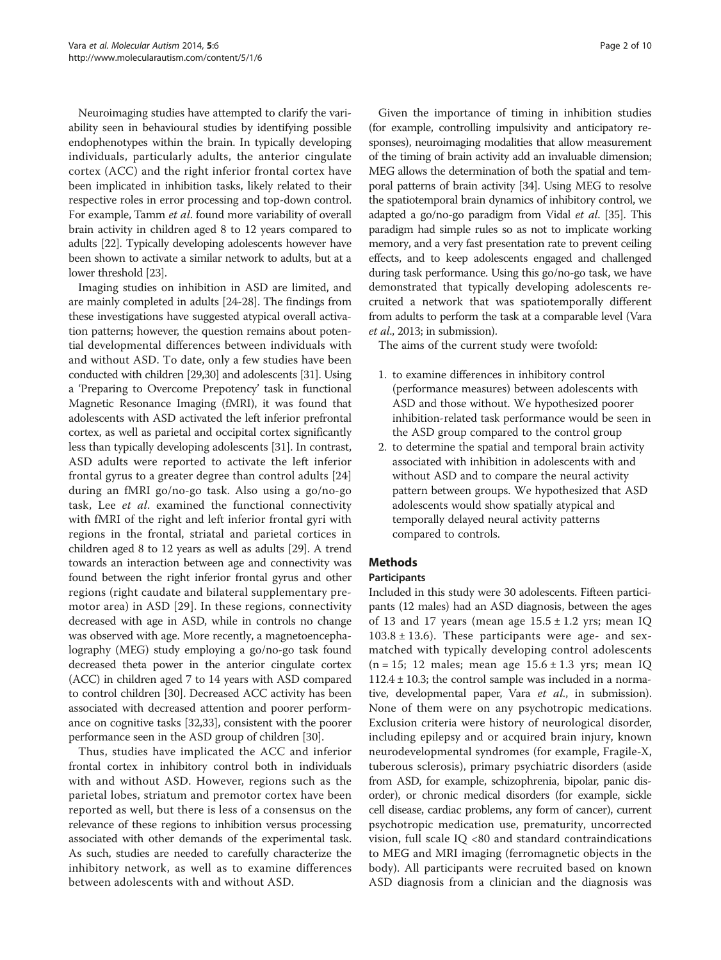Neuroimaging studies have attempted to clarify the variability seen in behavioural studies by identifying possible endophenotypes within the brain. In typically developing individuals, particularly adults, the anterior cingulate cortex (ACC) and the right inferior frontal cortex have been implicated in inhibition tasks, likely related to their respective roles in error processing and top-down control. For example, Tamm et al. found more variability of overall brain activity in children aged 8 to 12 years compared to adults [\[22\]](#page-8-0). Typically developing adolescents however have been shown to activate a similar network to adults, but at a lower threshold [\[23\]](#page-8-0).

Imaging studies on inhibition in ASD are limited, and are mainly completed in adults [[24-28\]](#page-8-0). The findings from these investigations have suggested atypical overall activation patterns; however, the question remains about potential developmental differences between individuals with and without ASD. To date, only a few studies have been conducted with children [\[29,30](#page-8-0)] and adolescents [\[31](#page-8-0)]. Using a 'Preparing to Overcome Prepotency' task in functional Magnetic Resonance Imaging (fMRI), it was found that adolescents with ASD activated the left inferior prefrontal cortex, as well as parietal and occipital cortex significantly less than typically developing adolescents [\[31\]](#page-8-0). In contrast, ASD adults were reported to activate the left inferior frontal gyrus to a greater degree than control adults [\[24](#page-8-0)] during an fMRI go/no-go task. Also using a go/no-go task, Lee et al. examined the functional connectivity with fMRI of the right and left inferior frontal gyri with regions in the frontal, striatal and parietal cortices in children aged 8 to 12 years as well as adults [\[29\]](#page-8-0). A trend towards an interaction between age and connectivity was found between the right inferior frontal gyrus and other regions (right caudate and bilateral supplementary premotor area) in ASD [[29](#page-8-0)]. In these regions, connectivity decreased with age in ASD, while in controls no change was observed with age. More recently, a magnetoencephalography (MEG) study employing a go/no-go task found decreased theta power in the anterior cingulate cortex (ACC) in children aged 7 to 14 years with ASD compared to control children [[30](#page-8-0)]. Decreased ACC activity has been associated with decreased attention and poorer performance on cognitive tasks [[32,33\]](#page-8-0), consistent with the poorer performance seen in the ASD group of children [[30\]](#page-8-0).

Thus, studies have implicated the ACC and inferior frontal cortex in inhibitory control both in individuals with and without ASD. However, regions such as the parietal lobes, striatum and premotor cortex have been reported as well, but there is less of a consensus on the relevance of these regions to inhibition versus processing associated with other demands of the experimental task. As such, studies are needed to carefully characterize the inhibitory network, as well as to examine differences between adolescents with and without ASD.

Given the importance of timing in inhibition studies (for example, controlling impulsivity and anticipatory responses), neuroimaging modalities that allow measurement of the timing of brain activity add an invaluable dimension; MEG allows the determination of both the spatial and temporal patterns of brain activity [\[34](#page-8-0)]. Using MEG to resolve the spatiotemporal brain dynamics of inhibitory control, we adapted a go/no-go paradigm from Vidal et al. [[35](#page-8-0)]. This paradigm had simple rules so as not to implicate working memory, and a very fast presentation rate to prevent ceiling effects, and to keep adolescents engaged and challenged during task performance. Using this go/no-go task, we have demonstrated that typically developing adolescents recruited a network that was spatiotemporally different from adults to perform the task at a comparable level (Vara et al., 2013; in submission).

The aims of the current study were twofold:

- 1. to examine differences in inhibitory control (performance measures) between adolescents with ASD and those without. We hypothesized poorer inhibition-related task performance would be seen in the ASD group compared to the control group
- 2. to determine the spatial and temporal brain activity associated with inhibition in adolescents with and without ASD and to compare the neural activity pattern between groups. We hypothesized that ASD adolescents would show spatially atypical and temporally delayed neural activity patterns compared to controls.

# **Methods**

# Participants

Included in this study were 30 adolescents. Fifteen participants (12 males) had an ASD diagnosis, between the ages of 13 and 17 years (mean age  $15.5 \pm 1.2$  yrs; mean IQ  $103.8 \pm 13.6$ . These participants were age- and sexmatched with typically developing control adolescents  $(n = 15; 12 \text{ males}; \text{mean age } 15.6 \pm 1.3 \text{ yrs}; \text{mean IQ}$  $112.4 \pm 10.3$ ; the control sample was included in a normative, developmental paper, Vara et al., in submission). None of them were on any psychotropic medications. Exclusion criteria were history of neurological disorder, including epilepsy and or acquired brain injury, known neurodevelopmental syndromes (for example, Fragile-X, tuberous sclerosis), primary psychiatric disorders (aside from ASD, for example, schizophrenia, bipolar, panic disorder), or chronic medical disorders (for example, sickle cell disease, cardiac problems, any form of cancer), current psychotropic medication use, prematurity, uncorrected vision, full scale  $IQ < 80$  and standard contraindications to MEG and MRI imaging (ferromagnetic objects in the body). All participants were recruited based on known ASD diagnosis from a clinician and the diagnosis was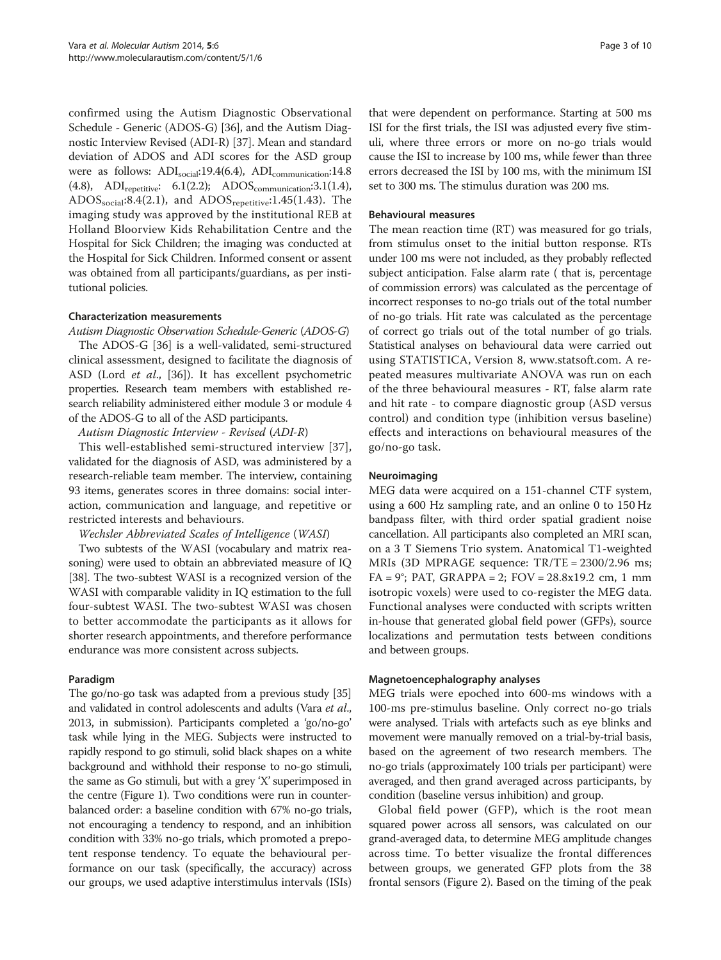confirmed using the Autism Diagnostic Observational Schedule - Generic (ADOS-G) [[36](#page-9-0)], and the Autism Diagnostic Interview Revised (ADI-R) [\[37\]](#page-9-0). Mean and standard deviation of ADOS and ADI scores for the ASD group were as follows: ADI<sub>social</sub>:19.4(6.4), ADI<sub>communication</sub>:14.8  $(4.8)$ , ADI<sub>repetitive</sub>:  $6.1(2.2)$ ; ADOS<sub>communication</sub>:3.1(1.4), ADOS<sub>social</sub>:8.4(2.1), and ADOS<sub>repetitive</sub>:1.45(1.43). The imaging study was approved by the institutional REB at Holland Bloorview Kids Rehabilitation Centre and the Hospital for Sick Children; the imaging was conducted at the Hospital for Sick Children. Informed consent or assent was obtained from all participants/guardians, as per institutional policies.

#### Characterization measurements

#### Autism Diagnostic Observation Schedule-Generic (ADOS-G)

The ADOS-G [\[36\]](#page-9-0) is a well-validated, semi-structured clinical assessment, designed to facilitate the diagnosis of ASD (Lord et al., [[36](#page-9-0)]). It has excellent psychometric properties. Research team members with established research reliability administered either module 3 or module 4 of the ADOS-G to all of the ASD participants.

#### Autism Diagnostic Interview - Revised (ADI-R)

This well-established semi-structured interview [[37](#page-9-0)], validated for the diagnosis of ASD, was administered by a research-reliable team member. The interview, containing 93 items, generates scores in three domains: social interaction, communication and language, and repetitive or restricted interests and behaviours.

#### Wechsler Abbreviated Scales of Intelligence (WASI)

Two subtests of the WASI (vocabulary and matrix reasoning) were used to obtain an abbreviated measure of IQ [[38](#page-9-0)]. The two-subtest WASI is a recognized version of the WASI with comparable validity in IQ estimation to the full four-subtest WASI. The two-subtest WASI was chosen to better accommodate the participants as it allows for shorter research appointments, and therefore performance endurance was more consistent across subjects.

#### Paradigm

The go/no-go task was adapted from a previous study [\[35](#page-8-0)] and validated in control adolescents and adults (Vara *et al.*, 2013, in submission). Participants completed a 'go/no-go' task while lying in the MEG. Subjects were instructed to rapidly respond to go stimuli, solid black shapes on a white background and withhold their response to no-go stimuli, the same as Go stimuli, but with a grey 'X' superimposed in the centre (Figure [1\)](#page-3-0). Two conditions were run in counterbalanced order: a baseline condition with 67% no-go trials, not encouraging a tendency to respond, and an inhibition condition with 33% no-go trials, which promoted a prepotent response tendency. To equate the behavioural performance on our task (specifically, the accuracy) across our groups, we used adaptive interstimulus intervals (ISIs)

that were dependent on performance. Starting at 500 ms ISI for the first trials, the ISI was adjusted every five stimuli, where three errors or more on no-go trials would cause the ISI to increase by 100 ms, while fewer than three errors decreased the ISI by 100 ms, with the minimum ISI set to 300 ms. The stimulus duration was 200 ms.

#### Behavioural measures

The mean reaction time (RT) was measured for go trials, from stimulus onset to the initial button response. RTs under 100 ms were not included, as they probably reflected subject anticipation. False alarm rate ( that is, percentage of commission errors) was calculated as the percentage of incorrect responses to no-go trials out of the total number of no-go trials. Hit rate was calculated as the percentage of correct go trials out of the total number of go trials. Statistical analyses on behavioural data were carried out using STATISTICA, Version 8, [www.statsoft.com](http://www.statsoft.com). A repeated measures multivariate ANOVA was run on each of the three behavioural measures - RT, false alarm rate and hit rate - to compare diagnostic group (ASD versus control) and condition type (inhibition versus baseline) effects and interactions on behavioural measures of the go/no-go task.

#### Neuroimaging

MEG data were acquired on a 151-channel CTF system, using a 600 Hz sampling rate, and an online 0 to 150 Hz bandpass filter, with third order spatial gradient noise cancellation. All participants also completed an MRI scan, on a 3 T Siemens Trio system. Anatomical T1-weighted MRIs (3D MPRAGE sequence: TR/TE = 2300/2.96 ms;  $FA = 9^\circ$ ; PAT, GRAPPA = 2; FOV = 28.8x19.2 cm, 1 mm isotropic voxels) were used to co-register the MEG data. Functional analyses were conducted with scripts written in-house that generated global field power (GFPs), source localizations and permutation tests between conditions and between groups.

#### Magnetoencephalography analyses

MEG trials were epoched into 600-ms windows with a 100-ms pre-stimulus baseline. Only correct no-go trials were analysed. Trials with artefacts such as eye blinks and movement were manually removed on a trial-by-trial basis, based on the agreement of two research members. The no-go trials (approximately 100 trials per participant) were averaged, and then grand averaged across participants, by condition (baseline versus inhibition) and group.

Global field power (GFP), which is the root mean squared power across all sensors, was calculated on our grand-averaged data, to determine MEG amplitude changes across time. To better visualize the frontal differences between groups, we generated GFP plots from the 38 frontal sensors (Figure [2](#page-4-0)). Based on the timing of the peak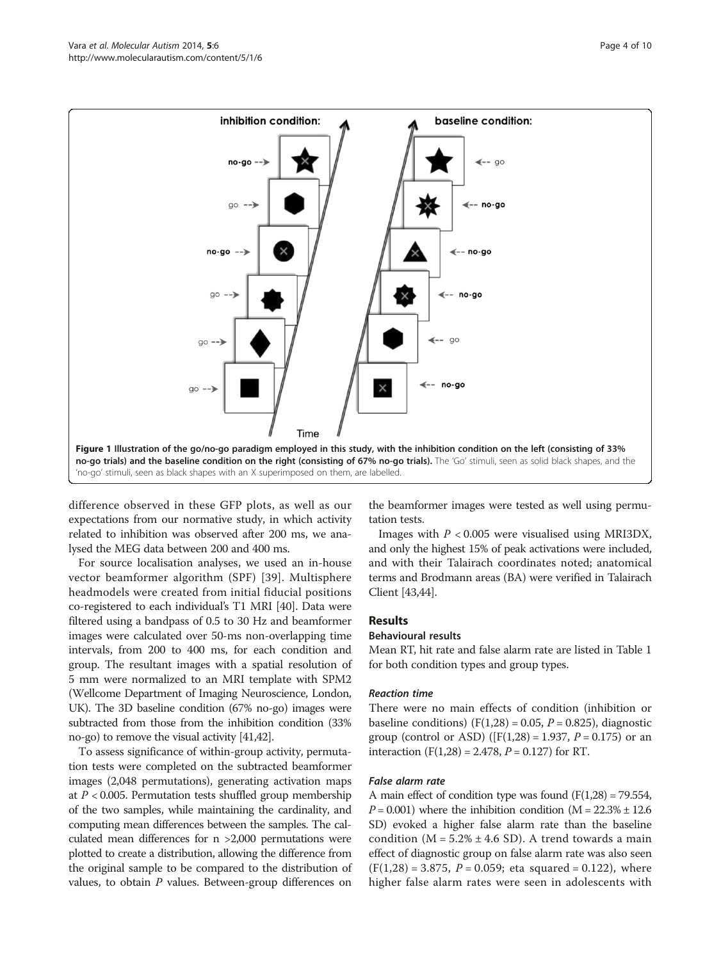<span id="page-3-0"></span>

difference observed in these GFP plots, as well as our expectations from our normative study, in which activity related to inhibition was observed after 200 ms, we analysed the MEG data between 200 and 400 ms.

For source localisation analyses, we used an in-house vector beamformer algorithm (SPF) [[39](#page-9-0)]. Multisphere headmodels were created from initial fiducial positions co-registered to each individual's T1 MRI [\[40\]](#page-9-0). Data were filtered using a bandpass of 0.5 to 30 Hz and beamformer images were calculated over 50-ms non-overlapping time intervals, from 200 to 400 ms, for each condition and group. The resultant images with a spatial resolution of 5 mm were normalized to an MRI template with SPM2 (Wellcome Department of Imaging Neuroscience, London, UK). The 3D baseline condition (67% no-go) images were subtracted from those from the inhibition condition (33% no-go) to remove the visual activity [[41,42](#page-9-0)].

To assess significance of within-group activity, permutation tests were completed on the subtracted beamformer images (2,048 permutations), generating activation maps at  $P < 0.005$ . Permutation tests shuffled group membership of the two samples, while maintaining the cardinality, and computing mean differences between the samples. The calculated mean differences for n >2,000 permutations were plotted to create a distribution, allowing the difference from the original sample to be compared to the distribution of values, to obtain P values. Between-group differences on

the beamformer images were tested as well using permutation tests.

Images with  $P < 0.005$  were visualised using MRI3DX, and only the highest 15% of peak activations were included, and with their Talairach coordinates noted; anatomical terms and Brodmann areas (BA) were verified in Talairach Client [[43,44\]](#page-9-0).

# Results

#### Behavioural results

Mean RT, hit rate and false alarm rate are listed in Table [1](#page-5-0) for both condition types and group types.

#### Reaction time

There were no main effects of condition (inhibition or baseline conditions)  $(F(1,28) = 0.05, P = 0.825)$ , diagnostic group (control or ASD) ( $[F(1,28) = 1.937, P = 0.175)$  or an interaction  $(F(1,28) = 2.478, P = 0.127)$  for RT.

#### False alarm rate

A main effect of condition type was found  $(F(1,28) = 79.554,$  $P = 0.001$ ) where the inhibition condition (M = 22.3%  $\pm$  12.6 SD) evoked a higher false alarm rate than the baseline condition ( $M = 5.2\% \pm 4.6$  SD). A trend towards a main effect of diagnostic group on false alarm rate was also seen  $(F(1,28) = 3.875, P = 0.059;$  eta squared = 0.122), where higher false alarm rates were seen in adolescents with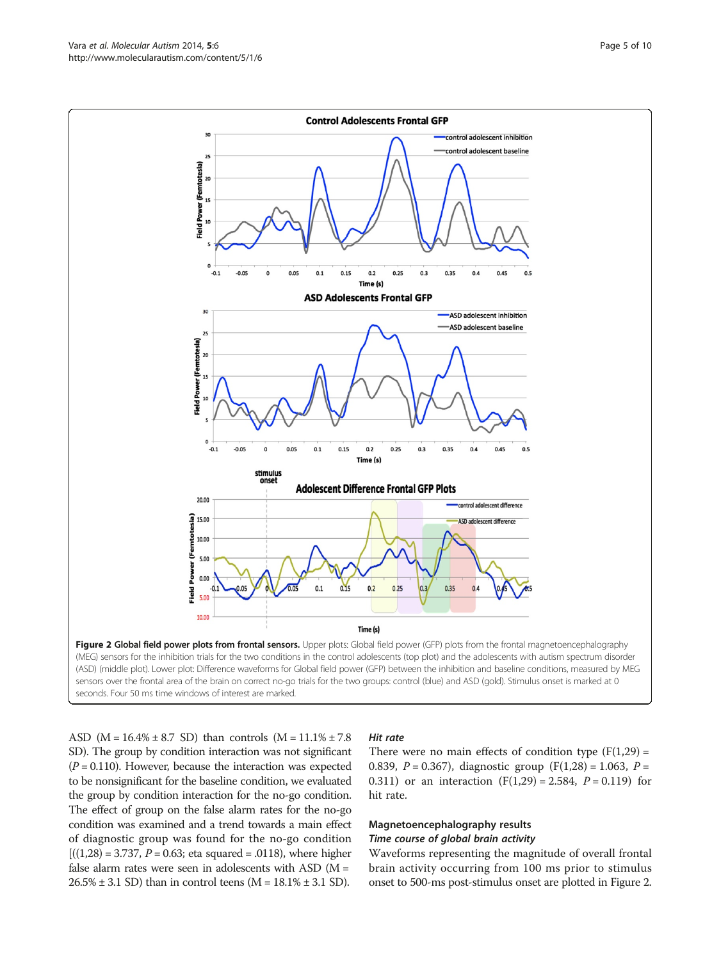ASD ( $M = 16.4\% \pm 8.7$  SD) than controls ( $M = 11.1\% \pm 7.8$ SD). The group by condition interaction was not significant  $(P = 0.110)$ . However, because the interaction was expected to be nonsignificant for the baseline condition, we evaluated the group by condition interaction for the no-go condition. The effect of group on the false alarm rates for the no-go condition was examined and a trend towards a main effect of diagnostic group was found for the no-go condition  $[(1,28) = 3.737, P = 0.63;$  eta squared = .0118), where higher false alarm rates were seen in adolescents with ASD  $(M =$  $26.5\% \pm 3.1$  SD) than in control teens (M =  $18.1\% \pm 3.1$  SD).

# Hit rate

There were no main effects of condition type  $(F(1,29) =$ 0.839,  $P = 0.367$ ), diagnostic group (F(1,28) = 1.063,  $P =$ 0.311) or an interaction  $(F(1,29) = 2.584, P = 0.119)$  for hit rate.

# Magnetoencephalography results Time course of global brain activity

Waveforms representing the magnitude of overall frontal brain activity occurring from 100 ms prior to stimulus onset to 500-ms post-stimulus onset are plotted in Figure 2.

<span id="page-4-0"></span>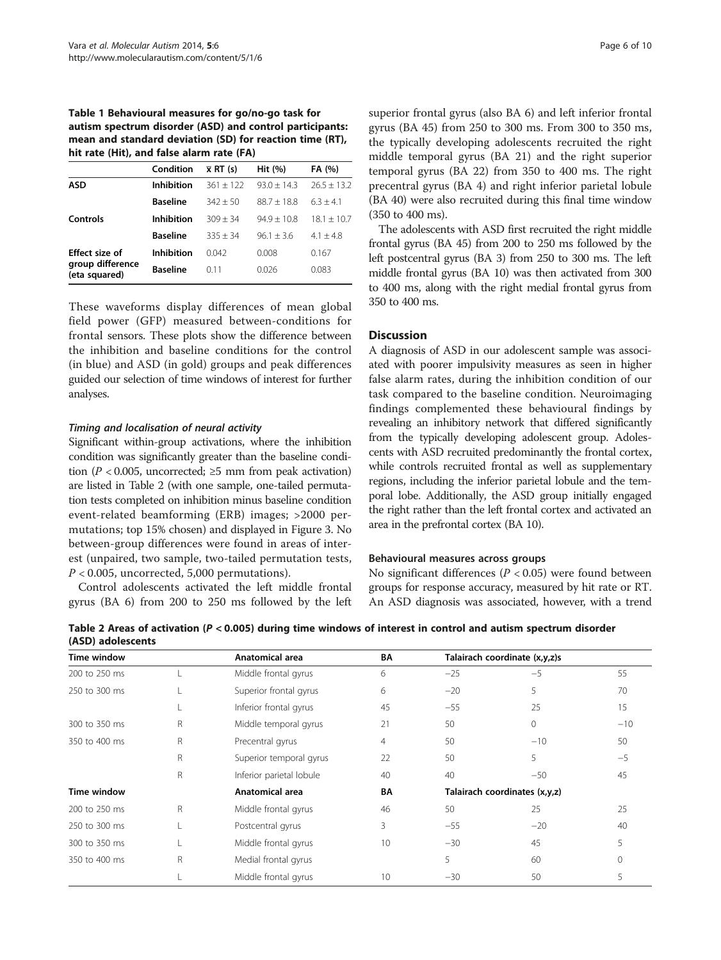<span id="page-5-0"></span>Table 1 Behavioural measures for go/no-go task for autism spectrum disorder (ASD) and control participants: mean and standard deviation (SD) for reaction time (RT), hit rate (Hit), and false alarm rate (FA)

| Condition         | $\bar{x}$ RT (s) | Hit (%)       | FA (%)        |
|-------------------|------------------|---------------|---------------|
| <b>Inhibition</b> | $361 + 122$      | $93.0 + 14.3$ | $26.5 + 13.2$ |
| <b>Baseline</b>   | $342 + 50$       | $88.7 + 18.8$ | $6.3 + 4.1$   |
| Inhibition        | $309 + 34$       | $94.9 + 10.8$ | $18.1 + 10.7$ |
| <b>Baseline</b>   | $335 + 34$       | $96.1 + 3.6$  | $4.1 + 4.8$   |
| Inhibition        | 0.042            | 0.008         | 0.167         |
| <b>Baseline</b>   | 0.11             | 0.026         | 0.083         |
|                   |                  |               |               |

These waveforms display differences of mean global field power (GFP) measured between-conditions for frontal sensors. These plots show the difference between the inhibition and baseline conditions for the control (in blue) and ASD (in gold) groups and peak differences guided our selection of time windows of interest for further analyses.

# Timing and localisation of neural activity

Significant within-group activations, where the inhibition condition was significantly greater than the baseline condition ( $P < 0.005$ , uncorrected; ≥5 mm from peak activation) are listed in Table 2 (with one sample, one-tailed permutation tests completed on inhibition minus baseline condition event-related beamforming (ERB) images; >2000 permutations; top 15% chosen) and displayed in Figure [3](#page-6-0). No between-group differences were found in areas of interest (unpaired, two sample, two-tailed permutation tests,  $P < 0.005$ , uncorrected, 5,000 permutations).

Control adolescents activated the left middle frontal gyrus (BA 6) from 200 to 250 ms followed by the left superior frontal gyrus (also BA 6) and left inferior frontal gyrus (BA 45) from 250 to 300 ms. From 300 to 350 ms, the typically developing adolescents recruited the right middle temporal gyrus (BA 21) and the right superior temporal gyrus (BA 22) from 350 to 400 ms. The right precentral gyrus (BA 4) and right inferior parietal lobule (BA 40) were also recruited during this final time window (350 to 400 ms).

The adolescents with ASD first recruited the right middle frontal gyrus (BA 45) from 200 to 250 ms followed by the left postcentral gyrus (BA 3) from 250 to 300 ms. The left middle frontal gyrus (BA 10) was then activated from 300 to 400 ms, along with the right medial frontal gyrus from 350 to 400 ms.

# **Discussion**

A diagnosis of ASD in our adolescent sample was associated with poorer impulsivity measures as seen in higher false alarm rates, during the inhibition condition of our task compared to the baseline condition. Neuroimaging findings complemented these behavioural findings by revealing an inhibitory network that differed significantly from the typically developing adolescent group. Adolescents with ASD recruited predominantly the frontal cortex, while controls recruited frontal as well as supplementary regions, including the inferior parietal lobule and the temporal lobe. Additionally, the ASD group initially engaged the right rather than the left frontal cortex and activated an area in the prefrontal cortex (BA 10).

#### Behavioural measures across groups

No significant differences ( $P < 0.05$ ) were found between groups for response accuracy, measured by hit rate or RT. An ASD diagnosis was associated, however, with a trend

Table 2 Areas of activation (P < 0.005) during time windows of interest in control and autism spectrum disorder (ASD) adolescents

| Time window   |   | Anatomical area          | ΒA | Talairach coordinate (x,y,z)s |             |          |
|---------------|---|--------------------------|----|-------------------------------|-------------|----------|
| 200 to 250 ms |   | Middle frontal gyrus     | 6  | $-25$                         | $-5$        | 55       |
| 250 to 300 ms | L | Superior frontal gyrus   | 6  | $-20$                         | 5           | 70       |
|               | L | Inferior frontal gyrus   | 45 | $-55$                         | 25          | 15       |
| 300 to 350 ms | R | Middle temporal gyrus    | 21 | 50                            | $\mathbf 0$ | $-10$    |
| 350 to 400 ms | R | Precentral gyrus         | 4  | 50                            | $-10$       | 50       |
|               | R | Superior temporal gyrus  | 22 | 50                            | 5           | $-5$     |
|               | R | Inferior parietal lobule | 40 | 40                            | $-50$       | 45       |
| Time window   |   | Anatomical area          | BA | Talairach coordinates (x,y,z) |             |          |
| 200 to 250 ms | R | Middle frontal gyrus     | 46 | 50                            | 25          | 25       |
| 250 to 300 ms | ┕ | Postcentral gyrus        | 3  | $-55$                         | $-20$       | 40       |
| 300 to 350 ms | ┕ | Middle frontal gyrus     | 10 | $-30$                         | 45          | 5        |
| 350 to 400 ms | R | Medial frontal gyrus     |    | 5                             | 60          | $\Omega$ |
|               |   | Middle frontal gyrus     | 10 | $-30$                         | 50          | 5        |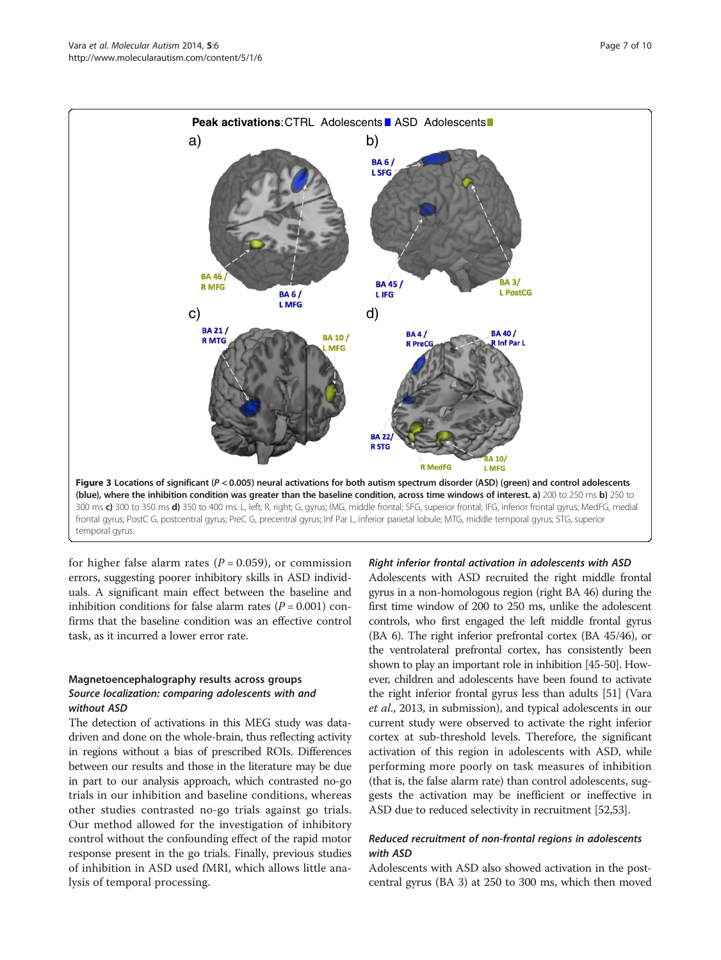<span id="page-6-0"></span>

for higher false alarm rates ( $P = 0.059$ ), or commission errors, suggesting poorer inhibitory skills in ASD individuals. A significant main effect between the baseline and inhibition conditions for false alarm rates  $(P = 0.001)$  confirms that the baseline condition was an effective control task, as it incurred a lower error rate.

# Magnetoencephalography results across groups Source localization: comparing adolescents with and without ASD

The detection of activations in this MEG study was datadriven and done on the whole-brain, thus reflecting activity in regions without a bias of prescribed ROIs. Differences between our results and those in the literature may be due in part to our analysis approach, which contrasted no-go trials in our inhibition and baseline conditions, whereas other studies contrasted no-go trials against go trials. Our method allowed for the investigation of inhibitory control without the confounding effect of the rapid motor response present in the go trials. Finally, previous studies of inhibition in ASD used fMRI, which allows little analysis of temporal processing.

#### Right inferior frontal activation in adolescents with ASD

Adolescents with ASD recruited the right middle frontal gyrus in a non-homologous region (right BA 46) during the first time window of 200 to 250 ms, unlike the adolescent controls, who first engaged the left middle frontal gyrus (BA 6). The right inferior prefrontal cortex (BA 45/46), or the ventrolateral prefrontal cortex, has consistently been shown to play an important role in inhibition [\[45-50\]](#page-9-0). However, children and adolescents have been found to activate the right inferior frontal gyrus less than adults [[51](#page-9-0)] (Vara et al., 2013, in submission), and typical adolescents in our current study were observed to activate the right inferior cortex at sub-threshold levels. Therefore, the significant activation of this region in adolescents with ASD, while performing more poorly on task measures of inhibition (that is, the false alarm rate) than control adolescents, suggests the activation may be inefficient or ineffective in ASD due to reduced selectivity in recruitment [\[52,53\]](#page-9-0).

# Reduced recruitment of non-frontal regions in adolescents with ASD

Adolescents with ASD also showed activation in the postcentral gyrus (BA 3) at 250 to 300 ms, which then moved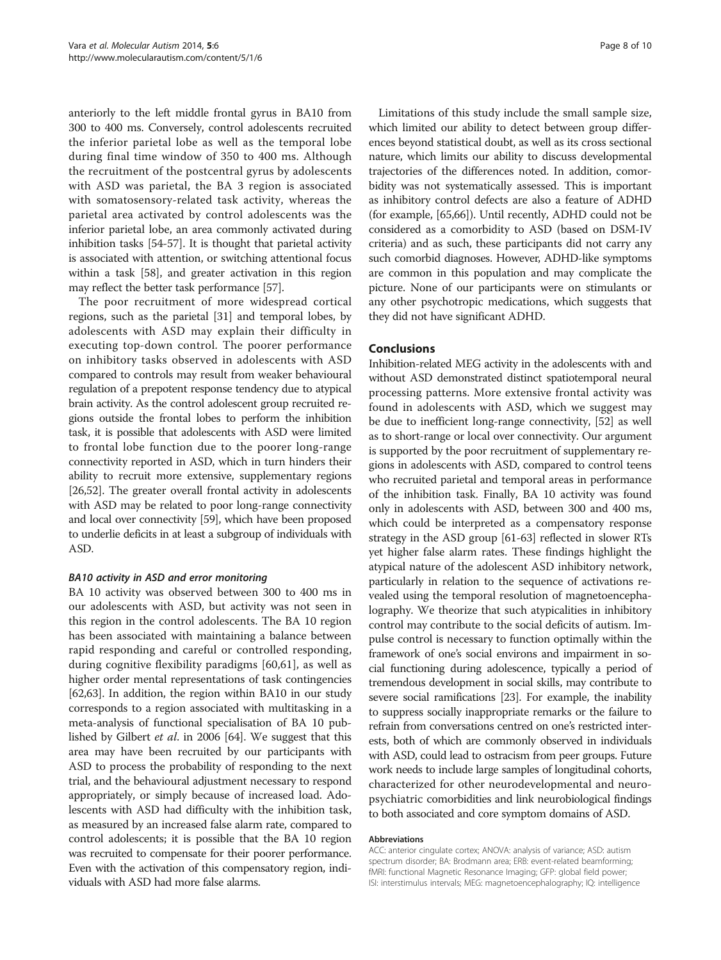anteriorly to the left middle frontal gyrus in BA10 from 300 to 400 ms. Conversely, control adolescents recruited the inferior parietal lobe as well as the temporal lobe during final time window of 350 to 400 ms. Although the recruitment of the postcentral gyrus by adolescents with ASD was parietal, the BA 3 region is associated with somatosensory-related task activity, whereas the parietal area activated by control adolescents was the inferior parietal lobe, an area commonly activated during inhibition tasks [\[54-57\]](#page-9-0). It is thought that parietal activity is associated with attention, or switching attentional focus within a task [\[58\]](#page-9-0), and greater activation in this region may reflect the better task performance [\[57\]](#page-9-0).

The poor recruitment of more widespread cortical regions, such as the parietal [\[31\]](#page-8-0) and temporal lobes, by adolescents with ASD may explain their difficulty in executing top-down control. The poorer performance on inhibitory tasks observed in adolescents with ASD compared to controls may result from weaker behavioural regulation of a prepotent response tendency due to atypical brain activity. As the control adolescent group recruited regions outside the frontal lobes to perform the inhibition task, it is possible that adolescents with ASD were limited to frontal lobe function due to the poorer long-range connectivity reported in ASD, which in turn hinders their ability to recruit more extensive, supplementary regions [[26](#page-8-0)[,52](#page-9-0)]. The greater overall frontal activity in adolescents with ASD may be related to poor long-range connectivity and local over connectivity [\[59\]](#page-9-0), which have been proposed to underlie deficits in at least a subgroup of individuals with ASD.

# BA10 activity in ASD and error monitoring

BA 10 activity was observed between 300 to 400 ms in our adolescents with ASD, but activity was not seen in this region in the control adolescents. The BA 10 region has been associated with maintaining a balance between rapid responding and careful or controlled responding, during cognitive flexibility paradigms [[60](#page-9-0),[61\]](#page-9-0), as well as higher order mental representations of task contingencies [[62,63](#page-9-0)]. In addition, the region within BA10 in our study corresponds to a region associated with multitasking in a meta-analysis of functional specialisation of BA 10 published by Gilbert et al. in 2006 [[64](#page-9-0)]. We suggest that this area may have been recruited by our participants with ASD to process the probability of responding to the next trial, and the behavioural adjustment necessary to respond appropriately, or simply because of increased load. Adolescents with ASD had difficulty with the inhibition task, as measured by an increased false alarm rate, compared to control adolescents; it is possible that the BA 10 region was recruited to compensate for their poorer performance. Even with the activation of this compensatory region, individuals with ASD had more false alarms.

Limitations of this study include the small sample size, which limited our ability to detect between group differences beyond statistical doubt, as well as its cross sectional nature, which limits our ability to discuss developmental trajectories of the differences noted. In addition, comorbidity was not systematically assessed. This is important as inhibitory control defects are also a feature of ADHD (for example, [[65,66\]](#page-9-0)). Until recently, ADHD could not be considered as a comorbidity to ASD (based on DSM-IV criteria) and as such, these participants did not carry any such comorbid diagnoses. However, ADHD-like symptoms are common in this population and may complicate the picture. None of our participants were on stimulants or any other psychotropic medications, which suggests that they did not have significant ADHD.

#### Conclusions

Inhibition-related MEG activity in the adolescents with and without ASD demonstrated distinct spatiotemporal neural processing patterns. More extensive frontal activity was found in adolescents with ASD, which we suggest may be due to inefficient long-range connectivity, [[52](#page-9-0)] as well as to short-range or local over connectivity. Our argument is supported by the poor recruitment of supplementary regions in adolescents with ASD, compared to control teens who recruited parietal and temporal areas in performance of the inhibition task. Finally, BA 10 activity was found only in adolescents with ASD, between 300 and 400 ms, which could be interpreted as a compensatory response strategy in the ASD group [\[61-63\]](#page-9-0) reflected in slower RTs yet higher false alarm rates. These findings highlight the atypical nature of the adolescent ASD inhibitory network, particularly in relation to the sequence of activations revealed using the temporal resolution of magnetoencephalography. We theorize that such atypicalities in inhibitory control may contribute to the social deficits of autism. Impulse control is necessary to function optimally within the framework of one's social environs and impairment in social functioning during adolescence, typically a period of tremendous development in social skills, may contribute to severe social ramifications [\[23\]](#page-8-0). For example, the inability to suppress socially inappropriate remarks or the failure to refrain from conversations centred on one's restricted interests, both of which are commonly observed in individuals with ASD, could lead to ostracism from peer groups. Future work needs to include large samples of longitudinal cohorts, characterized for other neurodevelopmental and neuropsychiatric comorbidities and link neurobiological findings to both associated and core symptom domains of ASD.

#### Abbreviations

ACC: anterior cingulate cortex; ANOVA: analysis of variance; ASD: autism spectrum disorder; BA: Brodmann area; ERB: event-related beamforming; fMRI: functional Magnetic Resonance Imaging; GFP: global field power; ISI: interstimulus intervals; MEG: magnetoencephalography; IQ: intelligence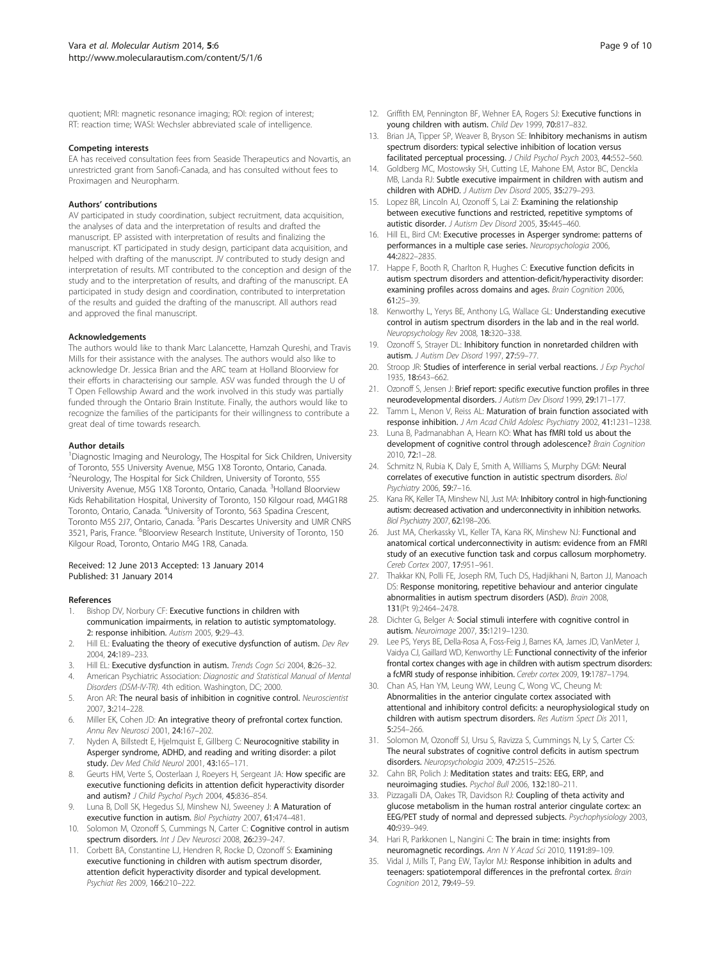<span id="page-8-0"></span>quotient; MRI: magnetic resonance imaging; ROI: region of interest; RT: reaction time; WASI: Wechsler abbreviated scale of intelligence.

#### Competing interests

EA has received consultation fees from Seaside Therapeutics and Novartis, an unrestricted grant from Sanofi-Canada, and has consulted without fees to Proximagen and Neuropharm.

#### Authors' contributions

AV participated in study coordination, subject recruitment, data acquisition, the analyses of data and the interpretation of results and drafted the manuscript. EP assisted with interpretation of results and finalizing the manuscript. KT participated in study design, participant data acquisition, and helped with drafting of the manuscript. JV contributed to study design and interpretation of results. MT contributed to the conception and design of the study and to the interpretation of results, and drafting of the manuscript. EA participated in study design and coordination, contributed to interpretation of the results and guided the drafting of the manuscript. All authors read and approved the final manuscript.

#### Acknowledgements

The authors would like to thank Marc Lalancette, Hamzah Qureshi, and Travis Mills for their assistance with the analyses. The authors would also like to acknowledge Dr. Jessica Brian and the ARC team at Holland Bloorview for their efforts in characterising our sample. ASV was funded through the U of T Open Fellowship Award and the work involved in this study was partially funded through the Ontario Brain Institute. Finally, the authors would like to recognize the families of the participants for their willingness to contribute a great deal of time towards research.

#### Author details

<sup>1</sup>Diagnostic Imaging and Neurology, The Hospital for Sick Children, University of Toronto, 555 University Avenue, M5G 1X8 Toronto, Ontario, Canada. <sup>2</sup>Neurology, The Hospital for Sick Children, University of Toronto, 555 University Avenue, M5G 1X8 Toronto, Ontario, Canada. <sup>3</sup>Holland Bloorview Kids Rehabilitation Hospital, University of Toronto, 150 Kilgour road, M4G1R8 Toronto, Ontario, Canada. <sup>4</sup>University of Toronto, 563 Spadina Crescent, Toronto M5S 2J7, Ontario, Canada. <sup>5</sup>Paris Descartes University and UMR CNRS 3521, Paris, France. <sup>6</sup>Bloorview Research Institute, University of Toronto, 150 Kilgour Road, Toronto, Ontario M4G 1R8, Canada.

#### Received: 12 June 2013 Accepted: 13 January 2014 Published: 31 January 2014

#### References

- Bishop DV, Norbury CF: Executive functions in children with communication impairments, in relation to autistic symptomatology. 2: response inhibition. Autism 2005, 9:29–43.
- 2. Hill EL: Evaluating the theory of executive dysfunction of autism. Dev Rev 2004, 24:189–233.
- 3. Hill EL: Executive dysfunction in autism. Trends Cogn Sci 2004, 8:26–32.
- 4. American Psychiatric Association: Diagnostic and Statistical Manual of Mental Disorders (DSM-IV-TR). 4th edition. Washington, DC; 2000.
- 5. Aron AR: The neural basis of inhibition in cognitive control. Neuroscientist 2007, 3:214–228.
- 6. Miller EK, Cohen JD: An integrative theory of prefrontal cortex function. Annu Rev Neurosci 2001, 24:167–202.
- 7. Nyden A, Billstedt E, Hjelmquist E, Gillberg C: Neurocognitive stability in Asperger syndrome, ADHD, and reading and writing disorder: a pilot study. Dev Med Child Neurol 2001, 43:165–171.
- Geurts HM, Verte S, Oosterlaan J, Roeyers H, Sergeant JA: How specific are executive functioning deficits in attention deficit hyperactivity disorder and autism? J Child Psychol Psych 2004, 45:836-854.
- 9. Luna B, Doll SK, Hegedus SJ, Minshew NJ, Sweeney J: A Maturation of executive function in autism. Biol Psychiatry 2007, 61:474–481.
- 10. Solomon M, Ozonoff S, Cummings N, Carter C: Cognitive control in autism spectrum disorders. Int J Dev Neurosci 2008, 26:239–247.
- 11. Corbett BA, Constantine LJ, Hendren R, Rocke D, Ozonoff S: Examining executive functioning in children with autism spectrum disorder, attention deficit hyperactivity disorder and typical development. Psychiat Res 2009, 166:210–222.
- 12. Griffith EM, Pennington BF, Wehner EA, Rogers SJ: Executive functions in young children with autism. Child Dev 1999, 70:817–832.
- 13. Brian JA, Tipper SP, Weaver B, Bryson SE: Inhibitory mechanisms in autism spectrum disorders: typical selective inhibition of location versus facilitated perceptual processing. J Child Psychol Psych 2003, 44:552–560.
- 14. Goldberg MC, Mostowsky SH, Cutting LE, Mahone EM, Astor BC, Denckla MB, Landa RJ: Subtle executive impairment in children with autism and children with ADHD. J Autism Dev Disord 2005, 35:279–293.
- 15. Lopez BR, Lincoln AJ, Ozonoff S, Lai Z: Examining the relationship between executive functions and restricted, repetitive symptoms of autistic disorder. J Autism Dev Disord 2005, 35:445–460.
- 16. Hill EL, Bird CM: Executive processes in Asperger syndrome: patterns of performances in a multiple case series. Neuropsychologia 2006, 44:2822–2835.
- 17. Happe F, Booth R, Charlton R, Hughes C: Executive function deficits in autism spectrum disorders and attention-deficit/hyperactivity disorder: examining profiles across domains and ages. Brain Cognition 2006, 61:25–39.
- 18. Kenworthy L, Yerys BE, Anthony LG, Wallace GL: Understanding executive control in autism spectrum disorders in the lab and in the real world. Neuropsychology Rev 2008, 18:320–338.
- 19. Ozonoff S, Strayer DL: Inhibitory function in nonretarded children with autism. J Autism Dev Disord 1997, 27:59–77.
- 20. Stroop JR: Studies of interference in serial verbal reactions. J Exp Psychol 1935, 18:643–662.
- 21. Ozonoff S, Jensen J: Brief report: specific executive function profiles in three neurodevelopmental disorders. J Autism Dev Disord 1999, 29:171–177.
- 22. Tamm L, Menon V, Reiss AL: Maturation of brain function associated with response inhibition. J Am Acad Child Adolesc Psychiatry 2002, 41:1231–1238.
- 23. Luna B, Padmanabhan A, Hearn KO: What has fMRI told us about the development of cognitive control through adolescence? Brain Cognition 2010, 72:1–28.
- 24. Schmitz N, Rubia K, Daly E, Smith A, Williams S, Murphy DGM: Neural correlates of executive function in autistic spectrum disorders. Biol Psychiatry 2006, 59:7–16.
- 25. Kana RK, Keller TA, Minshew NJ, Just MA: Inhibitory control in high-functioning autism: decreased activation and underconnectivity in inhibition networks. Biol Psychiatry 2007, 62:198–206.
- 26. Just MA, Cherkassky VL, Keller TA, Kana RK, Minshew NJ: Functional and anatomical cortical underconnectivity in autism: evidence from an FMRI study of an executive function task and corpus callosum morphometry. Cereb Cortex 2007, 17:951–961.
- 27. Thakkar KN, Polli FE, Joseph RM, Tuch DS, Hadjikhani N, Barton JJ, Manoach DS: Response monitoring, repetitive behaviour and anterior cingulate abnormalities in autism spectrum disorders (ASD). Brain 2008, 131(Pt 9):2464–2478.
- 28. Dichter G, Belger A: Social stimuli interfere with cognitive control in autism. Neuroimage 2007, 35:1219–1230.
- 29. Lee PS, Yerys BE, Della-Rosa A, Foss-Feig J, Barnes KA, James JD, VanMeter J, Vaidya CJ, Gaillard WD, Kenworthy LE: Functional connectivity of the inferior frontal cortex changes with age in children with autism spectrum disorders: a fcMRI study of response inhibition. Cerebr cortex 2009, 19:1787–1794.
- 30. Chan AS, Han YM, Leung WW, Leung C, Wong VC, Cheung M: Abnormalities in the anterior cingulate cortex associated with attentional and inhibitory control deficits: a neurophysiological study on children with autism spectrum disorders. Res Autism Spect Dis 2011, 5:254–266.
- 31. Solomon M, Ozonoff SJ, Ursu S, Ravizza S, Cummings N, Ly S, Carter CS: The neural substrates of cognitive control deficits in autism spectrum disorders. Neuropsychologia 2009, 47:2515–2526.
- 32. Cahn BR, Polich J: Meditation states and traits: EEG, ERP, and neuroimaging studies. Psychol Bull 2006, 132:180–211.
- 33. Pizzagalli DA, Oakes TR, Davidson RJ: Coupling of theta activity and glucose metabolism in the human rostral anterior cingulate cortex: an EEG/PET study of normal and depressed subjects. Psychophysiology 2003, 40:939–949.
- 34. Hari R, Parkkonen L, Nangini C: The brain in time: insights from neuromagnetic recordings. Ann N Y Acad Sci 2010, 1191:89–109.
- 35. Vidal J, Mills T, Pang EW, Taylor MJ: Response inhibition in adults and teenagers: spatiotemporal differences in the prefrontal cortex. Brain Cognition 2012, 79:49–59.